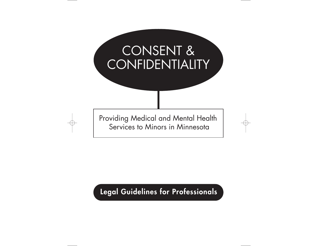

# **Legal Guidelines for Professionals**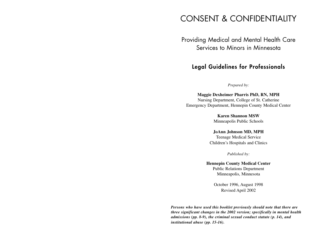# CONSENT & CONFIDENTIALITY

### Providing Medical and Mental Health Care Services to Minors in Minnesota

### **Legal Guidelines for Professionals**

*Prepared by:*

**Maggie Dexheimer Pharris PhD, RN, MPH** Nursing Department, College of St. Catherine Emergency Department, Hennepin County Medical Center

> **Karen Shannon MSW**Minneapolis Public Schools

### **JoAnn Johnson MD, MPH**

Teenage Medical Service Children's Hospitals and Clinics

*Published by:*

**Hennepin County Medical Center** Public Relations Department Minneapolis, Minnesota

> October 1996, August 1998 Revised April 2002

*Persons who have used this booklet previously should note that there are three significant changes in the 2002 version; specifically in mental health admissions (pp. 8-9), the criminal sexual conduct statute (p. 14), and institutional abuse (pp. 15-16).*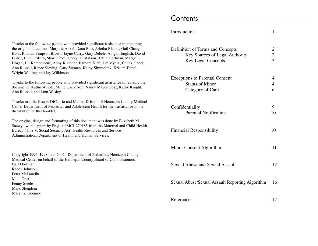Thanks to the following people who provided significant assistance in preparing the original document: Marjorie Ankel, Dana Barr, Arletha Blanks, Gail Chang Bohr, Rhonda Simpson Brown, Jayne Curry, Gary Debele, Abigail English, David Fisher, Ellie Griffith, Shari Grote, Cheryl Gustafson, Adele Hoffman, Margie Hogan, Jill Kempthorne, Abby Kirshner, Barbara Klatt, Liz Myhre, Chuck Oberg, Ann Russell, Renee Sieving, Gary Sigman, Kathy Simmelink, Kristen Teipel, Wright Walling, and Jay Wilkinson.

Thanks to the following people who provided significant assistance in revising the document: Kathie Amble, Millie Casperson, Nancy Mayer Gosz, Kathy Knight, Ann Russell, and Jann Wesley.

Thanks to Julia Joseph-DiCaprio and Martha Driscoll of Hennepin County Medical Center Department of Pediatrics and Adolescent Health for their assistance in the distribution of this booklet.

The original design and formatting of this document was done by Elizabeth M. Saewyc with support by Project #MCJ-279185 from the Maternal and Child Health Bureau (Title V, Social Security Act) Health Resources and Service Administration, Department of Health and Human Services.

Copyright 1996, 1998, and 2002. Department of Pediatrics, Hennepin County Medical Center on behalf of the Hennepin County Board of Commissioners: Gail DorfmanRandy Johnson Peter McLauglin Mike Opat Penny Steele Mark Stenglein Mary Tambornino

# **Contents**

| Introduction                                                                                    | 1                                     |
|-------------------------------------------------------------------------------------------------|---------------------------------------|
| Definition of Terms and Concepts<br>Key Sources of Legal Authority<br><b>Key Legal Concepts</b> | $\frac{2}{3}$                         |
| <b>Exceptions to Parental Consent</b><br><b>Status of Minor</b><br>Category of Care             | $\overline{4}$<br>$\overline{4}$<br>6 |
| Confidentiality<br><b>Parental Notification</b>                                                 | 9<br>10                               |
| <b>Financial Responsibility</b>                                                                 | 10                                    |
| Minor Consent Algorithm                                                                         | 11                                    |
| <b>Sexual Abuse and Sexual Assault</b>                                                          | 12                                    |
| Sexual Abuse/Sexual Assault Reporting Algorithm                                                 | 16                                    |
| References                                                                                      | 17                                    |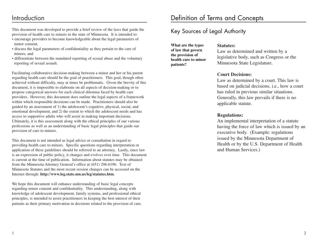### Introduction

This document was developed to provide a brief review of the laws that guide the provision of health care to minors in the state of Minnesota. It is intended to:

- encourage providers to become knowledgeable about the legal parameters of minor consent,
- discuss the legal parameters of confidentiality as they pertain to the care of minors, and
- differentiate between the mandated reporting of sexual abuse and the voluntary reporting of sexual assault.

Facilitating collaborative decision-making between a minor and her or his parent regarding health care should be the goal of practitioners. This goal, though often achieved without difficulty, may at times be problematic. Given the brevity of this document, it is impossible to elaborate on all aspects of decision-making or to propose categorical answers for each clinical dilemma faced by health care providers. However, this document does outline the legal aspects of a framework within which responsible decisions can be made. Practitioners should also be guided by an assessment of 1) the adolescent's cognitive, physical, social, and emotional development, and 2) the extent to which the adolescent needs and has access to supportive adults who will assist in making important decisions. Ultimately, it is this assessment along with the ethical principles of our various professions as well as an understanding of basic legal principles that guide our provision of care to minors.

This document is not intended as legal advice or consultation in regard to providing health care to minors. Specific questions regarding interpretation or application of these guidelines should be referred to an attorney. Lastly, since law is an expression of public policy, it changes and evolves over time. This document is current at the time of publication. Information about statutes may be obtained from the Minnesota Attorney General's office at (651) 296-6196. Text of Minnesota Statutes and the most recent session changes can be accessed on the Internet through: **http://www.leg.state.mn.us/leg/statutes.htm**.

We hope this document will enhance understanding of basic legal concepts regarding minor consent and confidentiality. This understanding, along with knowledge of adolescent development, family systems, and professional ethical principles, is intended to assist practitioners in keeping the best interest of their patients as their primary motivation in decisions related to the provision of care.

### Key Sources of Legal Authority

**What are the types of law that govern the provision of health care to minorpatients?**

#### **Statutes:**

Law as determined and written by a legislative body, such as Congress or the Minnesota State Legislature.

### **Court Decisions:**

Law as determined by a court. This law is based on judicial decisions, i.e., how a court has ruled in previous similar situations. Generally, this law prevails if there is no applicable statute.

### **Regulations:**

An implemental interpretation of a statute having the force of law which is issued by an executive body. (Example: regulations issued by the Minnesota Department of Health or by the U.S. Department of Health and Human Services.)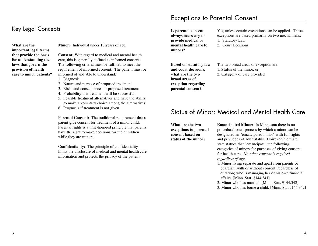### Key Legal Concepts

**What are theimportant legal terms that provide the basis for understanding the laws that govern the provision of health care to minor patients?**

**Minor:** Individual under 18 years of age.

**Consent:** With regard to medical and mental health care, this is generally defined as informed consent. The following criteria must be fulfilled to meet the requirement of informed consent. The patient must be informed of and able to understand:

- 1. Diagnosis
- 2. Nature and purpose of proposed treatment
- 3. Risks and consequences of proposed treatment
- 4. Probability that treatment will be successful
- 5. Feasible treatment alternatives and have the ability to make a voluntary choice among the alternatives
- 6. Prognosis if treatment is not given

**Parental Consent:** The traditional requirement that a parent give consent for treatment of a minor child. Parental rights is a time-honored principle that parents have the right to make decisions for their children while they are minors.

**Confidentiality:** The principle of confidentiality limits the disclosure of medical and mental health careinformation and protects the privacy of the patient.

### Exceptions to Parental Consent

**Is parental consent always necessary to provide medical or mental health care tominors?**

Yes, unless certain exceptions can be applied. These exceptions are based primarily on two mechanisms: 1. Statutory Law

2. Court Decisions

**Based on statutory law and court decisions, what are the twobroad areas of exception regarding parental consent?**

The two broad areas of exception are: 1. **Status** of the minor, or 2. **Category** of care provided

### Status of Minor: Medical and Mental Health Care

**What are the twoexceptions to parental consent based on status of the minor?**

**Emancipated Minor:** In Minnesota there is no procedural court process by which a minor can be designated an "emancipated minor" with full rights and privileges of adult status. However, there are state statues that "emancipate" the following categories of minors for purposes of giving consent for health care. *No other consent is required regardless of age.*

1. Minor living separate and apart from parents or guardian (with or without consent, regardless of duration) who is managing her or his own financial affairs. [Minn. Stat. §144.341]

2. Minor who has married. [Minn. Stat. §144.342]

3. Minor who has borne a child. [Minn. Stat.§144.342]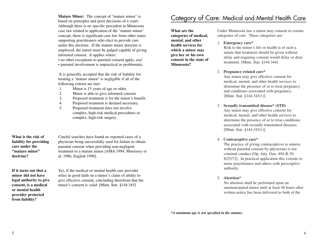**Mature Minor:** The concept of "mature minor" is based on principles and prior decisions of a court. Although there is no specific precedent in Minnesota case law related to application of the "mature minor" concept, there is significant case law from other states supporting practitioners who elect to provide care under this doctrine. If the mature minor doctrine isemployed, the minor must be judged capable of giving informed consent. It applies where:

• no other exceptions to parental consent apply, *and*

• parental involvement is impractical or problematic.

It is generally accepted that the risk of liability for treating a "mature minor" is negligible if all of the following criteria are met:

- 1. Minor is 15 years of age or older.
- 2. Minor is able to give informed consent.
- 3. Proposed treatment is for the minor's benefit.
- 4. Proposed treatment is deemed necessary.
- 5. Proposed treatment does not involve complex, high-risk medical procedures or complex, high-risk surgery.

**What is the risk ofliability for providing care under the"mature minor"doctrine?**

Careful searches have found no reported cases of a physician being successfully sued for failure to obtain parental consent when providing non-negligent treatment to a mature minor [AMA 1994, Morrissey et al. 1986, English 1990].

**If it turns out that aminor did not havelegal authority to give consent, is a medical or mental healthprovider protected from liability?**

Yes, if the medical or mental health care provider relies in good faith on a minor's claim of ability to give effective consent, concluding therefrom that the minor's consent is valid. [Minn. Stat. §144.345]

### Category of Care: Medical and Mental Health Care

**What are thecategories of medical, mental, and other health services forwhich a minor may give her or his own consent in the state of Minnesota?**

Under Minnesota law a minor may consent to certain categories of care. These categories are:

#### 1. **Emergency care\***

Risk to the minor's life or health is of such a nature that treatment should be given without delay and requiring consent would delay or deny treatment. [Minn. Stat. §144.344]

#### 2. **Pregnancy-related care\***

Any minor may give effective consent for medical, mental, and other health services to determine the presence of or to treat pregnancy and conditions associated with pregnancy. [Minn. Stat. §144.343(1)]

- 3. **Sexually transmitted disease\* (STD)** Any minor may give effective consent for medical, mental, and other health services to determine the presence of or to treat conditions associated with sexually transmitted diseases. [Minn. Stat. §144.343(1)]
- 4. **Contraceptive care\***

The practice of giving contraceptives to minors without parental consent by physicians is not criminal conduct [Op. Atty. Gen. 494-B-39, 8/25/72]. In practical application this extends to nurse practitioners and others with prescriptive authority.

5. **Abortion\***

No abortion shall be performed upon an unemancipated minor until at least 48 hours after written notice has been delivered to both of the

*\*A minimum age is not specified in the statutes.*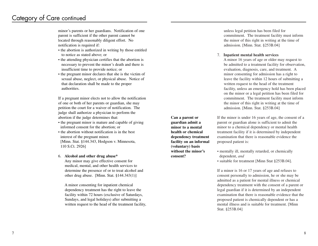### Category of Care continued

minor's parents or her guardians. Notification of one parent is sufficient if the other parent cannot be located through reasonably diligent effort. No notification is required if:

- the abortion is authorized in writing by those entitled to notice as stated above; or
- the attending physician certifies that the abortion is necessary to prevent the minor's death and there is insufficient time to provide notice; or
- the pregnant minor declares that she is the victim of sexual abuse, neglect, or physical abuse. Notice of that declaration shall be made to the proper authorities.

If a pregnant minor elects not to allow the notification of one or both of her parents or guardian, she may petition the court for a waiver of notification. The judge shall authorize a physician to perform the abortion if the judge determines that:

- the pregnant minor is mature and capable of giving informed consent for the abortion; or
- the abortion without notification is in the best interest of the pregnant minor. [Minn. Stat. §144.343, Hodgson v. Minnesota, 110 S.Ct. 2926]

#### 6. **Alcohol and other drug abuse\***

Any minor may give effective consent for medical, mental, and other health services to determine the presence of or to treat alcohol and other drug abuse. [Minn. Stat. §144.343(1)]

A minor consenting for inpatient chemical dependency treatment has the right to leave the facility within 72 hours (exclusive of Saturdays, Sundays, and legal holidays) after submitting a written request to the head of the treatment facility, unless legal petition has been filed for commitment. The treatment facility must inform the minor of this right in writing at the time of admission. [Minn. Stat. §253B.04]

#### 7. **Inpatient mental health services**

**Can a parent or guardian admit a minor to a mentalhealth or chemical dependency treatment facility on an informal (voluntary) basis without the minor's**

**consent?**

A minor 16 years of age or older may request to be admitted to a treatment facility for observation, evaluation, diagnosis, care, and treatment. A minor consenting for admission has a right to leave the facility within 12 hours of submitting a written request to the head of the treatment facility, unless an emergency hold has been placed on the minor or a legal petition has been filed for commitment. The treatment facility must inform the minor of this right in writing at the time of admission. [Minn. Stat. §253B.04]

If the minor is under 16 years of age, the consent of a parent or guardian alone is sufficient to admit the minor to a chemical dependency or mental health treatment facility if it is determined by independent examination that there is reasonable evidence theproposed patient is:

- mentally ill, mentally retarded, or chemically dependent, *and*
- suitable for treatment [Minn Stat §253B.04].

If a minor is 16 or 17 years of age and refuses to consent personally to admission, he or she may be admitted as a patient for mental illness or chemical dependency treatment with the consent of a parent or legal guardian if it is determined by an independent examination that there is reasonable evidence that the proposed patient is chemically dependent or has a mental illness and is suitable for treatment. [Minn Stat. §253B.04]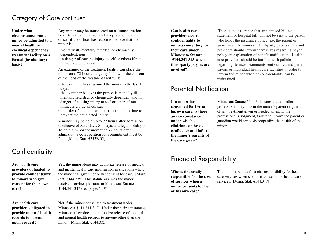### Category of Care continued

**Under whatcircumstances can aminor be admitted to a mental health orchemical dependency treatment facility on a formal (involuntary) basis?**

Any minor may be transported on a "transportation hold" to a treatment facility by a peace or health officer if the officer has reason to believe that theminor is:

- mentally ill, mentally retarded, or chemically dependent, *and*
- in danger of causing injury to self or others if not immediately detained.

An examiner of the treatment facility can place the minor on a 72-hour emergency hold with the consent of the head of the treatment facility if:

- the examiner has examined the minor in the last 15 days,
- the examiner believes the person is mentally ill, mentally retarded, or chemically dependent and in danger of causing injury to self or others if not immediately detained, *and*
- an order of the court cannot be obtained in time to prevent the anticipated injury.

A minor may be held up to 72 hours after admission (exclusive of Saturdays, Sundays, and legal holidays). To hold a minor for more than 72 hours afteradmission, a court petition for commitment must be filed. [Minn. Stat. §253B.05]

## **Confidentiality**

**Are health careproviders obligated to provide confidentiality to minors who give consent for their owncare?**

Yes, the minor alone may authorize release of medical and mental health care information in situations wherethe minor has given her or his consent for care. [Minn. Stat. §144.335] This statute assumes the minor received services pursuant to Minnesota Statute §144.341-347 (see pages 6 - 9).

**Are health careproviders obligated to provide minors' health records to parents upon request?**

Not if the minor consented to treatment underMinnesota §144.341-347. Under these circumstances, Minnesota law does not authorize release of medicaland mental health records to anyone other than the minor. [Minn. Stat. §144.335]

**Can health careproviders assure confidentiality to minors consenting for their care underMinnesota Statute§144.341-343 when third-party payors are involved?**

There is no assurance that an itemized billing statement or hospital bill will not be sent to the person who holds the insurance policy (i.e. the parent or guardian of the minor). Third-party payors differ and providers should inform themselves regarding payor policy on explanation of benefit notification. Health care providers should be familiar with policies regarding itemized statements sent out by third-party payors or individual health care facilities in order to inform the minor whether confidentiality can be maintained.

### Parental Notification

**If a minor hasconsented for her orhis own care, is there any circumstance under which aclinician can break confidence and informthe minor's parents of the care given?**

Minnesota Statute §144.346 states that a medical professional may inform the minor's parent or guardian of any treatment given or needed when, in the professional's judgment, failure to inform the parent or guardian would seriously jeopardize the health of the minor.

# Financial Responsibility

**Who is financially responsible for the cost of services when aminor consents for heror his own care?**

The minor assumes financial responsibility for health care services when she or he consents for health careservices. [Minn. Stat. §144.347]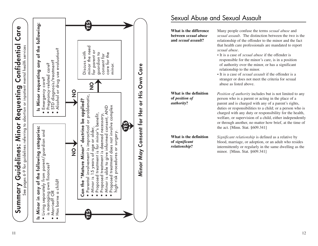

# Sexual Abuse and Sexual Assault

| What is the difference<br>between sexual abuse<br>and <i>sexual</i> assault? | Many people confuse the terms sexual abuse and<br>sexual assault. The distinction between the two is the<br>relationship of the offender to the minor and the fact<br>that health care professionals are mandated to report<br>sexual abuse.<br>• It is a case of <i>sexual abuse</i> if the offender is<br>responsible for the minor's care, is in a position<br>of authority over the minor, or has a significant<br>relationship to the minor.<br>• It is a case of <i>sexual assault</i> if the offender is a<br>stranger or does not meet the criteria for sexual<br>abuse as listed above. |
|------------------------------------------------------------------------------|--------------------------------------------------------------------------------------------------------------------------------------------------------------------------------------------------------------------------------------------------------------------------------------------------------------------------------------------------------------------------------------------------------------------------------------------------------------------------------------------------------------------------------------------------------------------------------------------------|
| What is the definition<br>of position of<br>authority?                       | <i>Position of authority</i> includes but is not limited to any<br>person who is a parent or acting in the place of a<br>parent and is charged with any of a parent's rights,<br>duties or responsibilities to a child; or a person who is<br>charged with any duty or responsibility for the health,<br>welfare, or supervision of a child, either independently<br>or through another, no matter how brief, at the time of<br>the act. [Minn. Stat. §609.341]                                                                                                                                  |
| What is the definition<br>of significant<br>relationship?                    | Significant relationship is defined as a relative by<br>blood, marriage, or adoption, or an adult who resides<br>intermittently or regularly in the same dwelling as the<br>minor. [Minn. Stat. §609.341]                                                                                                                                                                                                                                                                                                                                                                                        |

11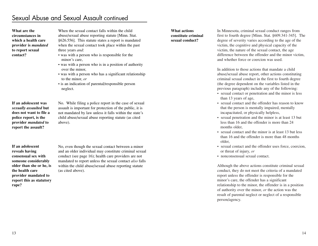## Sexual Abuse and Sexual Assault continued

**What are thecircumstances inwhich a health careprovider is** *mandated* **to report sexual contact?**

When the sexual contact falls within the childabuse/sexual abuse reporting statute [Minn. Stat. §626.556]. This statute states a report is mandated when the sexual contact took place within the past three years *and*:

- was with a person who is responsible for the minor's care,
- was with a person who is in a position of authority over the minor,
- was with a person who has a significant relationship to the minor, *or*
- is an indication of parental/responsible person neglect.

**If an adolescent was** *sexually assaulted* **but does not want to file apolice report, is the provider** *mandated* **to report the assault?**

No. While filing a police report in the case of sexual assault is important for protection of the public, it is not mandated by law unless it falls within the state's child abuse/sexual abuse reporting statute (as cited above).

**If an adolescent reveals having consensual sex withsomeone considerably older than she or he, is the health careprovider mandated to report this as statutory rape?**

No, even though the sexual contact between a minor and an older individual may constitute criminal sexual conduct (see page 16); health care providers are not mandated to report unless the sexual contact *also* falls within the child abuse/sexual abuse reporting statute (as cited above).

**What actions constitute criminal sexual conduct?**

In Minnesota, criminal sexual conduct ranges from first to fourth degree [Minn. Stat. §609.341-345]. The degree of severity varies according to the age of the victim, the cognitive and physical capacity of the victim, the nature of the sexual contact, the age difference between the offender and the minor victim, and whether force or coercion was used.

In addition to those actions that mandate a childabuse/sexual abuse report, other actions constituting criminal sexual conduct in the first to fourth degree (the degree dependent on the variables listed in the previous paragraph) include any of the following:

- sexual contact or penetration and the minor is less than 13 years of age,
- sexual contact and the offender has reason to know that the person is mentally impaired, mentally incapacitated, or physically helpless,
- sexual penetration and the minor is at least 13 but less than 16 and the offender is more than 24 months older
- sexual contact and the minor is at least 13 but less than 16 and the offender is more than 48 months older,
- sexual contact and the offender uses force, coercion, or threat of injury, *or*
- nonconsensual sexual contact.

Although the above actions constitute criminal sexual conduct, they do not meet the criteria of a mandated report unless the offender is responsible for the minor's care, the offender has a significant relationship to the minor, the offender is in a position of authority over the minor, *or* the action was the result of parental neglect or neglect of a responsible person/agency.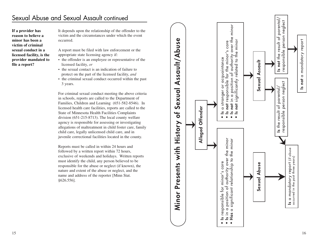# Sexual Abuse and Sexual Assault continued

**If a provider has reason to believe a minor has been a victim of criminal sexual conduct in a licensed facility, is the provider mandated to file a report?**

It depends upon the relationship of the offender to the victim and the circumstances under which the event occurred.

A report must be filed with law enforcement or the appropriate state licensing agency if:

- the offender is an employee or representative of the licensed facility, *or*
- the sexual contact is an indication of failure to protect on the part of the licensed facility, *and*
- the criminal sexual conduct occurred within the past 3 years.

For criminal sexual conduct meeting the above criteria in schools, reports are called to the Department of Families, Children and Learning (651-582-8546). In licensed health care facilities, reports are called to the State of Minnesota Health Facilities Complaints division (651-215-8713). The local county welfare agency is responsible for assessing or investigating allegations of maltreatment in child foster care, family child care, legally unlicensed child care, and in juvenile correctional facilities located in the county.

Reports must be called in within 24 hours and followed by a written report within 72 hours, exclusive of weekends and holidays. Written reports must identify the child, any person believed to be responsible for the abuse or neglect (if known), the nature and extent of the abuse or neglect, and the name and address of the reporter [Minn Stat. §626.556].

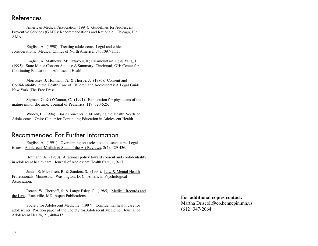American Medical Association (1994). Guidelines for Adolescent Preventive Services (GAPS): Recommendations and Rationale. Chicago, IL: AMA.

English, A. (1990). Treating adolescents: Legal and ethical considerations. Medical Clinics of North America, 74, 1097-1111.

English, A; Matthews, M; Extavour, K; Palamountain, C; & Yang, J. (1995). State Minor Consent Statues: A Summary, Cincinnati, OH: Center for Continuing Education in Adolescent Health.

Morrissey, J; Hofmann, A; & Thorpe, J. (1986). Consent and Confidentiality in the Health Care of Children and Adolescents: A Legal Guide. New York: The Free Press.

Sigman, G. & O'Connor, C. (1991). Exploration for physicians of the mature minor doctrine. Journal of Pediatrics, 119, 520-525.

Wildey, L. (1994). Basic Concepts in Identifying the Health Needs of Adolescents. Ohio: Center for Continuing Education in Adolescent Health.

### Recommended For Further Information

English, A. (1991). Overcoming obstacles to adolescent care: Legal issues. Adolescent Medicine: State of the Art Reviews, 2(2), 429-436.

Hofmann, A. (1980). A rational policy toward consent and confidentiality in adolescent health care. Journal of Adolescent Health Care, 1, 9-17.

Janus, E; Mickelsen, R; & Sanders, S. (1994). Law & Mental Health Professionals: Minnesota. Washington, D. C.: American Psychological Association.

Roach, W; Chernoff, S; & Lange Esley, C. (1985). Medical Records and the Law. Rockville, MD: Aspen Publications.

Society for Adolescent Medicine (1997). Confidential health care for adolescents: Position paper of the Society for Adolescent Medicine. Journal of Adolescent Health, 21, 408-415.

**For additional copies contact:** Martha Driscoll@co.hennepin.mn.us (612) 347-2064